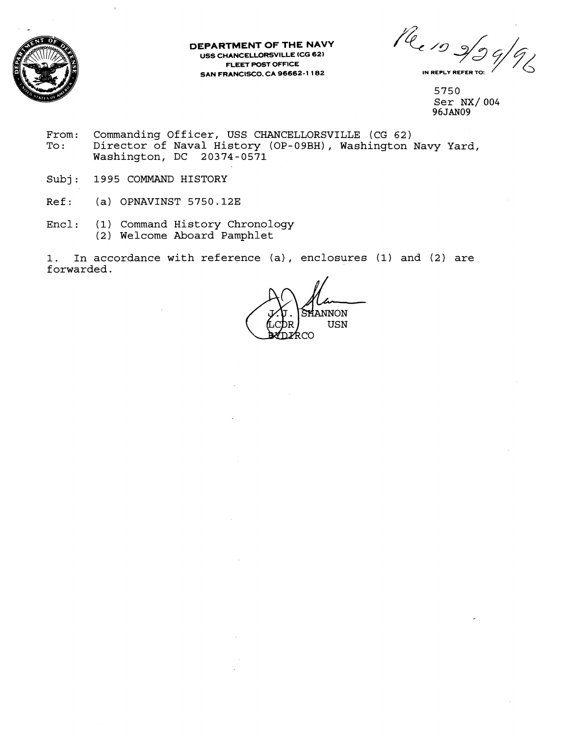

## **DEPARTMENT OF THE NAVY USS CHANCELLORSVILLE (CG 62) FLEET POST OFFICE SAN FRANCISCO. CA 96662-1 182**

**f6** l9 *4* /7d **IN REPLY REFER TO:** 

5750 Ser NX/ 004 **96JAN09** 

- From: Commanding Officer, USS CHANCELLORSVILLE (CG 62)<br>To: Director of Naval History (OP-09BH), Washington Director of Naval History (OP-09BH), Washington Navy Yard, Washington, DC 20374-0571
- Subj: 1995 COMMAND HISTORY
- Ref: (a) OPNAVINST 5750.12E
- Encl: (1) Command History Chronology (2) Welcome Aboard Pamphlet

1. In accordance with reference (a), enclosures **(1)** and (2) are forwarded.

iannon **USN** ƙco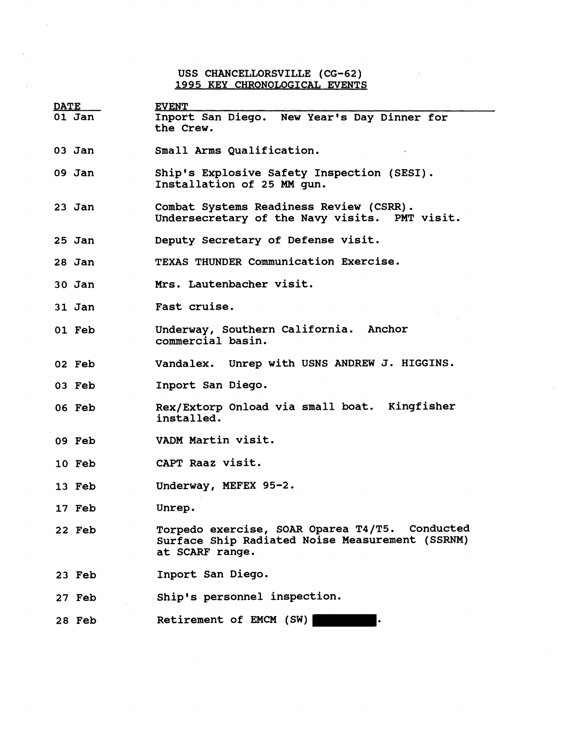## **USS CHANCELLORSVILLE (CG-62) 1995 KEY CHRONOLOGICAL EVENTS**

J.

| <b>DATE</b> | <b>EVENT</b>                                                                                                         |
|-------------|----------------------------------------------------------------------------------------------------------------------|
| $01$ Jan    | Inport San Diego. New Year's Day Dinner for<br>the Crew.                                                             |
| $03$ Jan    | Small Arms Qualification.                                                                                            |
| 09 Jan      | Ship's Explosive Safety Inspection (SESI).<br>Installation of 25 MM gun.                                             |
| $23$ Jan    | Combat Systems Readiness Review (CSRR).<br>Undersecretary of the Navy visits. PMT visit.                             |
| 25 Jan      | Deputy Secretary of Defense visit.                                                                                   |
| 28 Jan      | TEXAS THUNDER Communication Exercise.                                                                                |
| $30$ Jan    | Mrs. Lautenbacher visit.                                                                                             |
| $31$ Jan    | Fast cruise.                                                                                                         |
| 01 Feb      | Underway, Southern California. Anchor<br>commercial basin.                                                           |
| 02 Feb      | Vandalex. Unrep with USNS ANDREW J. HIGGINS.                                                                         |
| 03 Feb      | Inport San Diego.                                                                                                    |
| 06 Feb      | Rex/Extorp Onload via small boat. Kingfisher<br>installed.                                                           |
| 09 Feb      | VADM Martin visit.                                                                                                   |
| 10 Feb      | CAPT Raaz visit.                                                                                                     |
| 13 Feb      | Underway, MEFEX 95-2.                                                                                                |
| 17 Feb      | Unrep.                                                                                                               |
| 22 Feb      | Torpedo exercise, SOAR Oparea T4/T5. Conducted<br>Surface Ship Radiated Noise Measurement (SSRNM)<br>at SCARF range. |
| 23 Feb      | Inport San Diego.                                                                                                    |
| 27 Feb      | Ship's personnel inspection.                                                                                         |
| 28 Feb      | Retirement of EMCM (SW)                                                                                              |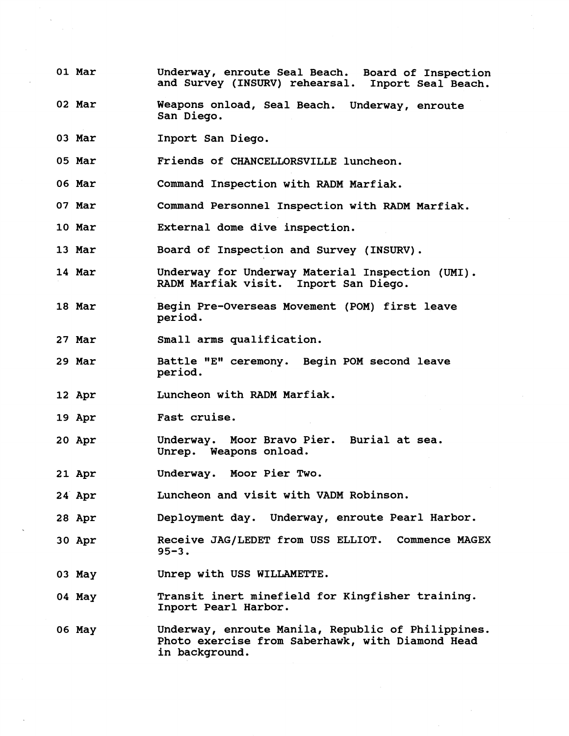- **01 Mar Underway, enroute Seal Beach. Board of Inspection and Survey (INSURV) rehearsal. Inport Seal Beach.**
- **02 Mar Weapons onload, Seal Beach. Underway, enroute San Diego.**
- **03 Mar Inport San Diego.**
- **05 Mar Friends of CHANCELLORSVILLE luncheon.**
- **06 Mar Command Inspection with RADM Marfiak.**
- **07 Mar Command Personnel Inspection with RADM Marfiak.**
- **10 Mar External dome dive inspection.**
- **13 Mar Board of Inspection and Survey (INSURV).**
- **14 Mar Underway for Underway Material Inspection (UMI). RADM Marfiak visit. Inport San Diego.**
- **18 Mar Begin Pre-Overseas Movement (POM) first leave period.**
- **27 Mar Small arms qualification.**
- **29 Mar**  Battle "E" ceremony. Begin POM second leave<br>period.
- **12 Apr Luncheon with RRDM Marfiak.**
- **19 Apr Fast cruise.**
- **20 Apr Underway. Moor Bravo Pier. Burial at sea. Unrep. Weapons onload.**
- **21 Apr Underway. Moor Pier Two.**
- **24 Apr Luncheon and visit with VADM Robinson.**
- **28 Apr Deployment day. Underway, enroute Pearl Harbor.**
- **30 Apr**  Receive JAG/LEDET from USS ELLIOT. Commence MAGEX **95-3.**
- **03 May Unrep with USS WILLAMETTE.**
- **04 May Transit inert minefield for Kingfisher training. Inport Pearl Harbor.**
- **06 May Underway, enroute Manila, Republic of Philippines. Photo exercise from Saberhawk, with Diamond Head in background.**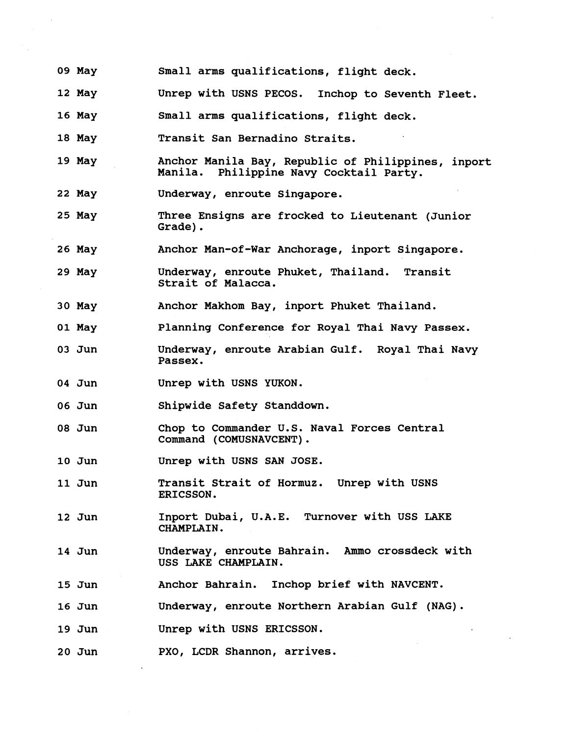- **09 May Small arms qualifications, flight deck.**
- **12 May Unrep with USNS PECOS. Inchop to Seventh Fleet.**
- **16 May Small arms qualifications, flight deck.**
- **18 May Transit San Bernadino Straits.**
- **19 May**  Anchor Manila Bay, Republic of Philippines, inport **Manila. philippine Navy cocktail Party.**
- **22 May Underway, enroute Singapore.**
- **25 May Three Ensigns are frocked to Lieutenant (Junior Grade).**
- **26 May Anchor Man-of-war Anchorage, inport Singapore.**
- **29 May Underway, enroute Phuket, Thailand. Transit Strait of Malacca.**
- **30 May Anchor Makhom Bay, inport Phuket Thailand.**
- **01 May Planning Conference for Royal Thai Navy Passex.**
- **03 Jun Underway, enroute Arabian Gulf. Royal Thai Navy Passex.**
- **04 Jun Unrep with USNS YUKON.**
- **06 Jun Shipwide Safety Standdown.**
- **08 Jun Chop to Commander U.S. Naval Forces Central Command (COMUSNAVCENT).**
- **10 Jun Unrep with USNS SAN JOSE.**
- **11 Jun Transit Strait of Hormuz. Unrep with USNS ERICSSON.**
- **12 Jun Inport Dubai, U.A.E. Turnover with USS LAKE CHAMPLAIN.**
- **14 Jun Underway, enroute Bahrain. Ammo crossdeck with USS LAKE CHAMPLAIN.**
- **15 Jun Anchor Bahrain. Inchop brief with NAVCENT.**
- **16 Jun Underway, enroute Northern Arabian Gulf (NAG).**
- **19 Jun Unrep with USNS ERICSSON.**
- **20 Jun PXO, LCDR Shannon, arrives.**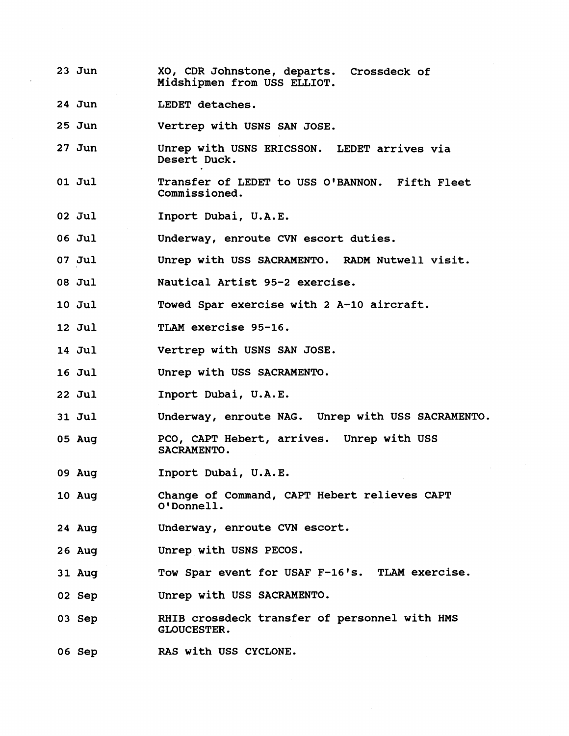- **23 Jun XO, CDR Johnstone, departs. Crossdeck of Midshipmen from USS ELLIOT.**
- **24 Jun LEDET detaches.**
- **25 Jun Vertrep with USNS SAN JOSE.**
- **27 Jun Unrep with USNS ERICSSON. LEDET arrives via Desert Duck.**
- **01 Jul Transfer of LEDET to USS OIBANNON. Fifth Fleet Commissioned.**
- **02 Jul**  Inport Dubai, U.A.E.

**06 Jul Underway, enroute CVN escort duties.** 

- **07 Jul Unrep with USS SACRAMENTO. RADM Nutwell visit.**
- **08 Jul Nautical Artist 95-2 exercise.**
- **10 Jul Towed Spar exercise with 2 A-10 aircraft.**
- **12 Jul TLAM exercise 95-16.**
- **14 Jul Vertrep with USNS SAN JOSE.**
- **16 Ju1 Unrep with USS SACRAMENTO.**
- **22 Jul Inport Dubai, U.A.E.**
- **31 Jul Underway, enroute NAG. Unrep with USS SACRAMENTO.**
- **05 Aug PCO, CAPT Hebert, arrives. Unrep with USS SACRAMENTO.**
- **09 Aug Inport Dubai, U.A.E.**
- **10 Aug Change of Command, CAPT Hebert relieves CAPT OIDonnell.**
- **24 Aug Underway, enroute CVN escort.**
- **26 Aug Unrep with USNS PECOS.**
- **31 Aug Tow Spar event for USAF F-16's. TLAM exercise.**
- **02 Sep Unrep with USS SACRAMENTO.**
- **03 Sep RHIB crossdeck transfer of personnel with HMS GLOUCESTER.**
- **06 Sep RAS with USS CYCLONE.**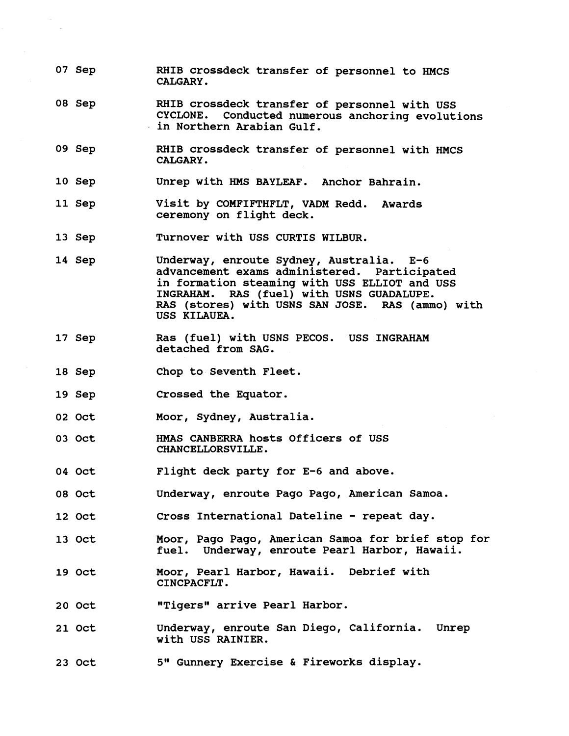- **07 Sep RHIB crossdeck transfer of personnel to HMCS CALGARY.**
- **08 Sep RHIB crossdeck transfer of personnel with USS CYCLONE. Conducted numerous anchoring evolutions in Northern Arabian Gulf.**
- **09 Sep RHIB crossdeck transfer of personnel with HMCS CALGARY.**
- **10 Sep Unrep with HMS BAYLEAF. Anchor Bahrain.**
- **11 Sep Visit by COMFIFTHFLT, VADM Redd. Awards ceremony on flight deck.**
- **13 Sep Turnover with USS CURTIS WILBUR.**
- **14 Sep Underway, enroute Sydney, Australia. E-6 advancement exams administered. Participated in formation steaming with USS ELLIOT and USS INGRAHAM. RAS (fuel) with USNS GUADALUPE. RAS (stores) with USNS SAN JOSE. RAS (ammo) with USS KILAUEA.**
- **17 Sep Ras (fuel) with USNS PECOS. USS INGRAHAM detached from SAG.**
- **18 Sep Chop to Seventh Fleet.**
- **19 Sep Crossed the Equator.**
- **02 Oct Moor, Sydney, Australia.**
- 03 Oct **HMAS CANBERRA hosts Officers of USS CHANCELLORSVILLE.**
- **04 Oct Flight deck party for E-6 and above.**
- **08 Oct Underway, enroute Pago Pago, American Samoa.**
- **12 Oct Cross International Dateline** - **repeat day.**
- **13 Oct Moor, Pago Pago, American Samoa for brief stop for fuel. Underway, enroute Pearl Harbor, Hawaii.**
- **19 Oct Moor, Pearl Harbor, Hawaii. Debrief with CINCPACFLT.**
- **20 Oct "Tigers" arrive Pearl Harbor.**
- **21 Oct Underway, enroute San Diego, California. Unrep with USS RAINIER.**
- **23 Oct 5Im Gunnery Exercise** & **irew works display.**